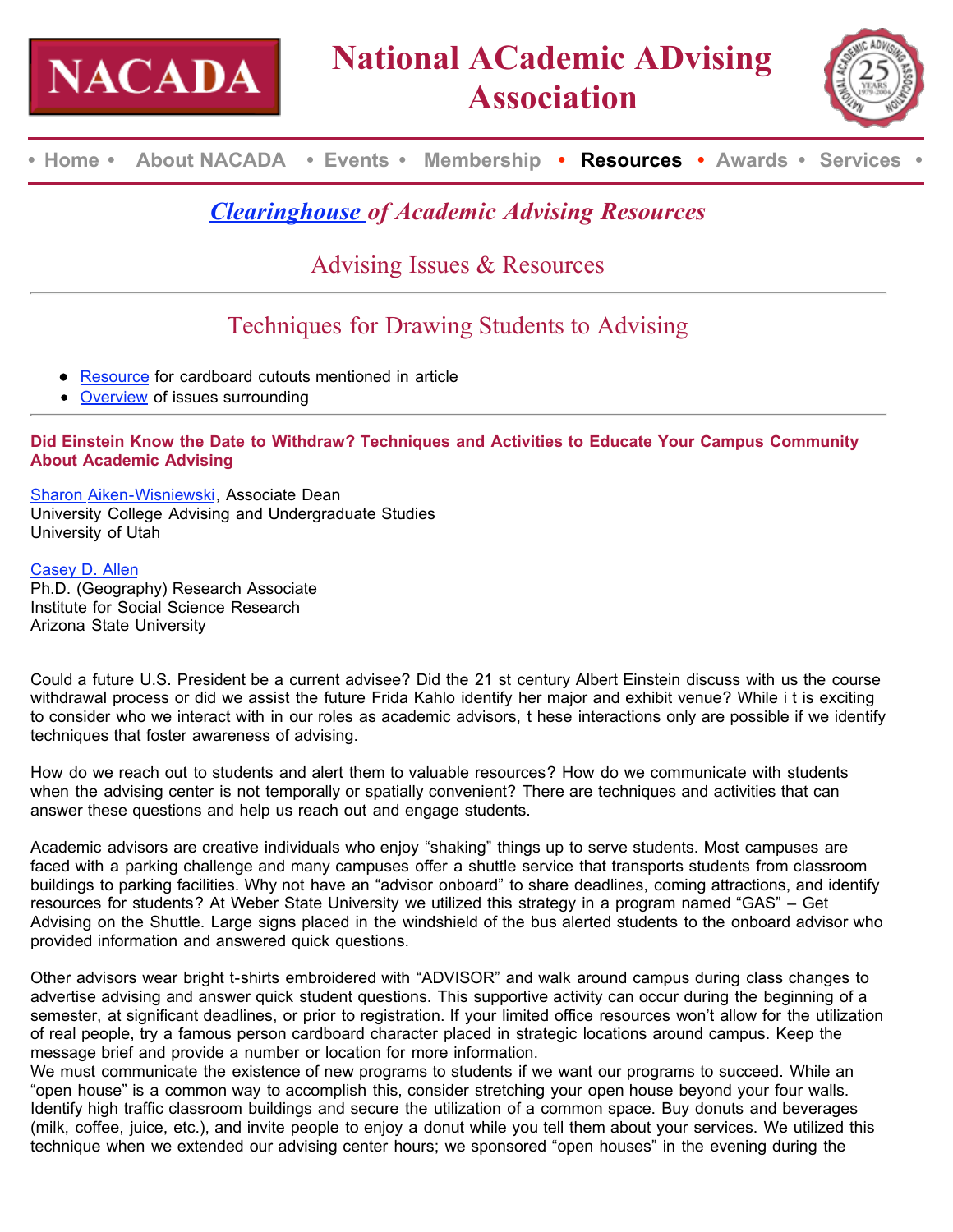



**• Home • About NACADA • Events • Membership • Resources • Awards • Services •**

## *Clearinghouse of Academic Advising Resources*

Advising Issues & Resources

# Techniques for Drawing Students to Advising

- **Resource for cardboard cutouts mentioned in article**
- Overview of issues surrounding

### **Did Einstein Know the Date to Withdraw? Techniques and Activities to Educate Your Campus Community About Academic Advising**

Sharon Aiken-Wisniewski, Associate Dean University College Advising and Undergraduate Studies University of Utah

### Casey D. Allen

Ph.D. (Geography) Research Associate Institute for Social Science Research Arizona State University

Could a future U.S. President be a current advisee? Did the 21 st century Albert Einstein discuss with us the course withdrawal process or did we assist the future Frida Kahlo identify her major and exhibit venue? While i t is exciting to consider who we interact with in our roles as academic advisors, t hese interactions only are possible if we identify techniques that foster awareness of advising.

How do we reach out to students and alert them to valuable resources? How do we communicate with students when the advising center is not temporally or spatially convenient? There are techniques and activities that can answer these questions and help us reach out and engage students.

Academic advisors are creative individuals who enjoy "shaking" things up to serve students. Most campuses are faced with a parking challenge and many campuses offer a shuttle service that transports students from classroom buildings to parking facilities. Why not have an "advisor onboard" to share deadlines, coming attractions, and identify resources for students? At Weber State University we utilized this strategy in a program named "GAS" – Get Advising on the Shuttle. Large signs placed in the windshield of the bus alerted students to the onboard advisor who provided information and answered quick questions.

Other advisors wear bright t-shirts embroidered with "ADVISOR" and walk around campus during class changes to advertise advising and answer quick student questions. This supportive activity can occur during the beginning of a semester, at significant deadlines, or prior to registration. If your limited office resources won't allow for the utilization of real people, try a famous person cardboard character placed in strategic locations around campus. Keep the message brief and provide a number or location for more information.

We must communicate the existence of new programs to students if we want our programs to succeed. While an "open house" is a common way to accomplish this, consider stretching your open house beyond your four walls. Identify high traffic classroom buildings and secure the utilization of a common space. Buy donuts and beverages (milk, coffee, juice, etc.), and invite people to enjoy a donut while you tell them about your services. We utilized this technique when we extended our advising center hours; we sponsored "open houses" in the evening during the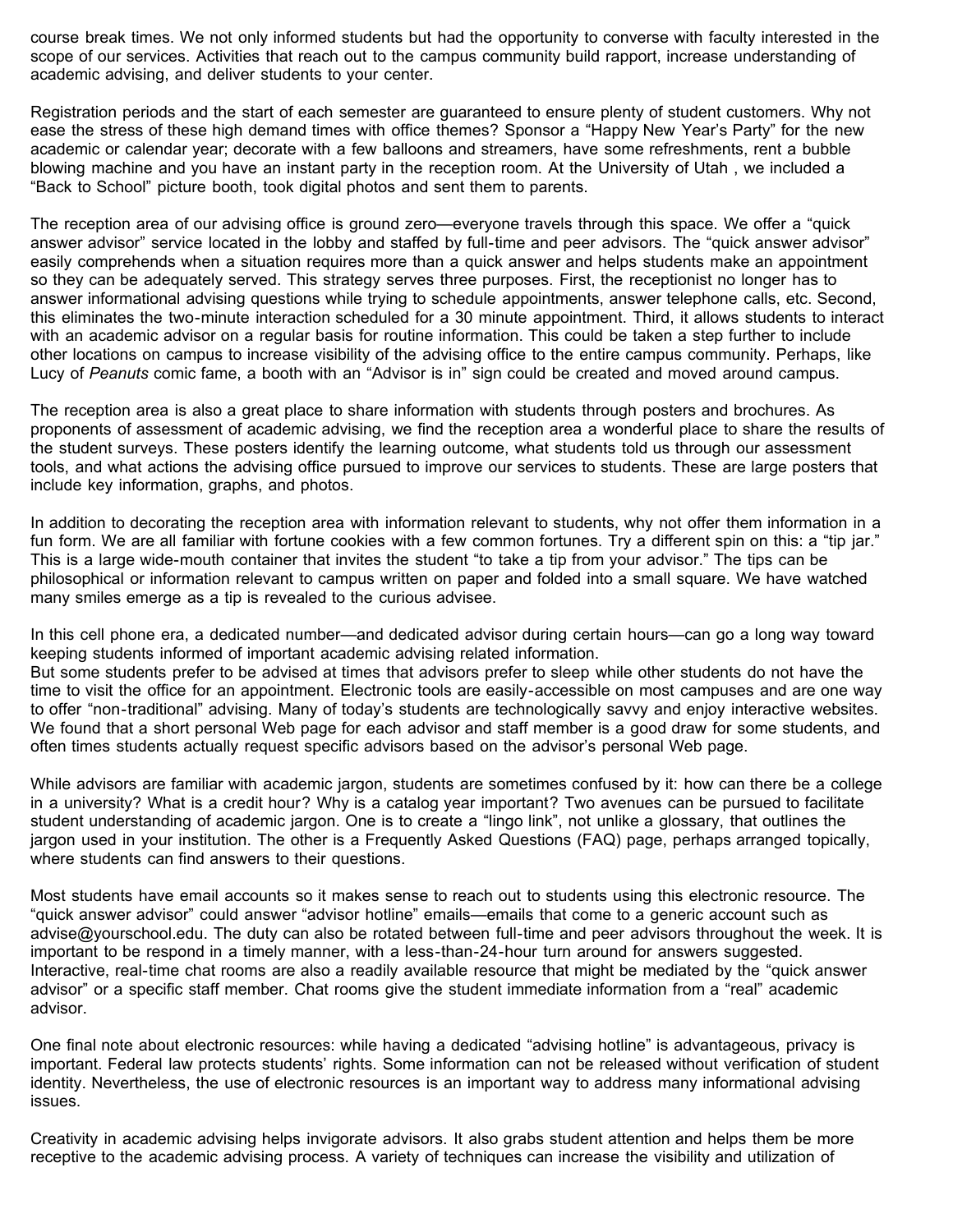course break times. We not only informed students but had the opportunity to converse with faculty interested in the scope of our services. Activities that reach out to the campus community build rapport, increase understanding of academic advising, and deliver students to your center.

Registration periods and the start of each semester are guaranteed to ensure plenty of student customers. Why not ease the stress of these high demand times with office themes? Sponsor a "Happy New Year's Party" for the new academic or calendar year; decorate with a few balloons and streamers, have some refreshments, rent a bubble blowing machine and you have an instant party in the reception room. At the University of Utah , we included a "Back to School" picture booth, took digital photos and sent them to parents.

The reception area of our advising office is ground zero—everyone travels through this space. We offer a "quick answer advisor" service located in the lobby and staffed by full-time and peer advisors. The "quick answer advisor" easily comprehends when a situation requires more than a quick answer and helps students make an appointment so they can be adequately served. This strategy serves three purposes. First, the receptionist no longer has to answer informational advising questions while trying to schedule appointments, answer telephone calls, etc. Second, this eliminates the two-minute interaction scheduled for a 30 minute appointment. Third, it allows students to interact with an academic advisor on a regular basis for routine information. This could be taken a step further to include other locations on campus to increase visibility of the advising office to the entire campus community. Perhaps, like Lucy of *Peanuts* comic fame, a booth with an "Advisor is in" sign could be created and moved around campus.

The reception area is also a great place to share information with students through posters and brochures. As proponents of assessment of academic advising, we find the reception area a wonderful place to share the results of the student surveys. These posters identify the learning outcome, what students told us through our assessment tools, and what actions the advising office pursued to improve our services to students. These are large posters that include key information, graphs, and photos.

In addition to decorating the reception area with information relevant to students, why not offer them information in a fun form. We are all familiar with fortune cookies with a few common fortunes. Try a different spin on this: a "tip jar." This is a large wide-mouth container that invites the student "to take a tip from your advisor." The tips can be philosophical or information relevant to campus written on paper and folded into a small square. We have watched many smiles emerge as a tip is revealed to the curious advisee.

In this cell phone era, a dedicated number—and dedicated advisor during certain hours—can go a long way toward keeping students informed of important academic advising related information. But some students prefer to be advised at times that advisors prefer to sleep while other students do not have the time to visit the office for an appointment. Electronic tools are easily-accessible on most campuses and are one way to offer "non-traditional" advising. Many of today's students are technologically savvy and enjoy interactive websites. We found that a short personal Web page for each advisor and staff member is a good draw for some students, and often times students actually request specific advisors based on the advisor's personal Web page.

While advisors are familiar with academic jargon, students are sometimes confused by it: how can there be a college in a university? What is a credit hour? Why is a catalog year important? Two avenues can be pursued to facilitate student understanding of academic jargon. One is to create a "lingo link", not unlike a glossary, that outlines the jargon used in your institution. The other is a Frequently Asked Questions (FAQ) page, perhaps arranged topically, where students can find answers to their questions.

Most students have email accounts so it makes sense to reach out to students using this electronic resource. The "quick answer advisor" could answer "advisor hotline" emails—emails that come to a generic account such as advise@yourschool.edu. The duty can also be rotated between full-time and peer advisors throughout the week. It is important to be respond in a timely manner, with a less-than-24-hour turn around for answers suggested. Interactive, real-time chat rooms are also a readily available resource that might be mediated by the "quick answer advisor" or a specific staff member. Chat rooms give the student immediate information from a "real" academic advisor.

One final note about electronic resources: while having a dedicated "advising hotline" is advantageous, privacy is important. Federal law protects students' rights. Some information can not be released without verification of student identity. Nevertheless, the use of electronic resources is an important way to address many informational advising issues.

Creativity in academic advising helps invigorate advisors. It also grabs student attention and helps them be more receptive to the academic advising process. A variety of techniques can increase the visibility and utilization of